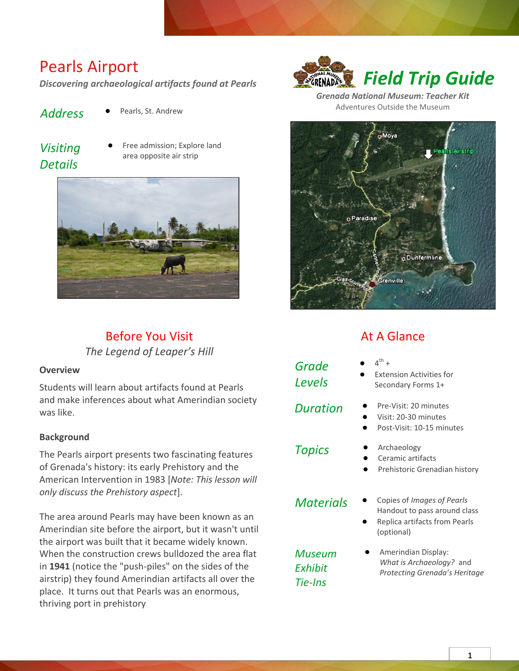## Pearls Airport

*Discovering archaeological artifacts found at Pearls*

- 
- *Address* **●** Pearls, St. Andrew
- *Visiting Details*
- **Free admission; Explore land** area opposite air strip



### Before You Visit *The Legend of Leaper's Hill*

#### **Overview**

Students will learn about artifacts found at Pearls and make inferences about what Amerindian society was like.

#### **Background**

The Pearls airport presents two fascinating features of Grenada's history: its early Prehistory and the American Intervention in 1983 [*Note: This lesson will only discuss the Prehistory aspect*].

The area around Pearls may have been known as an Amerindian site before the airport, but it wasn't until the airport was built that it became widely known. When the construction crews bulldozed the area flat in **1941** (notice the "push-piles" on the sides of the airstrip) they found Amerindian artifacts all over the place. It turns out that Pearls was an enormous, thriving port in prehistory



*Grenada National Museum: Teacher Kit* Adventures Outside the Museum



## At A Glance

- **●** 4  $\mathsf{^{th}}$  +
- **Extension Activities for** Secondary Forms 1+
- *Duration* **●** Pre-Visit: 20 minutes
	- **●** Visit: 20-30 minutes
	- **●** Post-Visit: 10-15 minutes
- 

*Grade Levels*

- *Topics* **●** Archaeology **●** Ceramic artifacts
	- **●** Prehistoric Grenadian history
- 

*Museum Exhibit Tie-Ins*

- *Materials* **●** Copies of *Images of Pearls* Handout to pass around class
	- **●** Replica artifacts from Pearls (optional)
	- **●** Amerindian Display: *What is Archaeology?* and *Protecting Grenada's Heritage*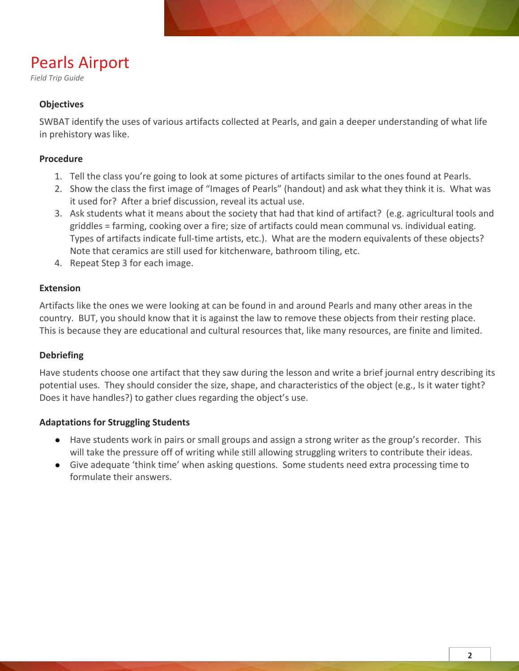# Pearls Airport

*Field Trip Guide*

#### **Objectives**

SWBAT identify the uses of various artifacts collected at Pearls, and gain a deeper understanding of what life in prehistory was like.

#### **Procedure**

- 1. Tell the class you're going to look at some pictures of artifacts similar to the ones found at Pearls.
- 2. Show the class the first image of "Images of Pearls" (handout) and ask what they think it is. What was it used for? After a brief discussion, reveal its actual use.
- 3. Ask students what it means about the society that had that kind of artifact? (e.g. agricultural tools and griddles = farming, cooking over a fire; size of artifacts could mean communal vs. individual eating. Types of artifacts indicate full-time artists, etc.). What are the modern equivalents of these objects? Note that ceramics are still used for kitchenware, bathroom tiling, etc.
- 4. Repeat Step 3 for each image.

#### **Extension**

Artifacts like the ones we were looking at can be found in and around Pearls and many other areas in the country. BUT, you should know that it is against the law to remove these objects from their resting place. This is because they are educational and cultural resources that, like many resources, are finite and limited.

#### **Debriefing**

Have students choose one artifact that they saw during the lesson and write a brief journal entry describing its potential uses. They should consider the size, shape, and characteristics of the object (e.g., Is it water tight? Does it have handles?) to gather clues regarding the object's use.

#### **Adaptations for Struggling Students**

- Have students work in pairs or small groups and assign a strong writer as the group's recorder. This will take the pressure off of writing while still allowing struggling writers to contribute their ideas.
- Give adequate 'think time' when asking questions. Some students need extra processing time to formulate their answers.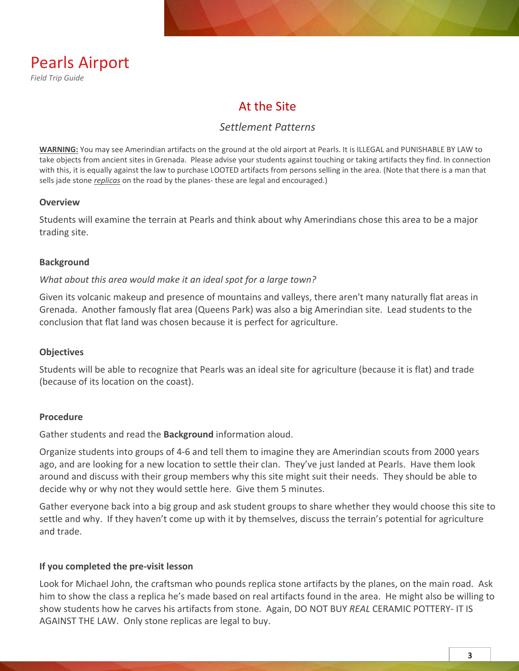

## At the Site

#### *Settlement Patterns*

**WARNING:** You may see Amerindian artifacts on the ground at the old airport at Pearls. It is ILLEGAL and PUNISHABLE BY LAW to take objects from ancient sites in Grenada. Please advise your students against touching or taking artifacts they find. In connection with this, it is equally against the law to purchase LOOTED artifacts from persons selling in the area. (Note that there is a man that sells jade stone *replicas* on the road by the planes- these are legal and encouraged.)

#### **Overview**

Students will examine the terrain at Pearls and think about why Amerindians chose this area to be a major trading site.

#### **Background**

#### *What about this area would make it an ideal spot for a large town?*

Given its volcanic makeup and presence of mountains and valleys, there aren't many naturally flat areas in Grenada. Another famously flat area (Queens Park) was also a big Amerindian site. Lead students to the conclusion that flat land was chosen because it is perfect for agriculture.

#### **Objectives**

Students will be able to recognize that Pearls was an ideal site for agriculture (because it is flat) and trade (because of its location on the coast).

#### **Procedure**

Gather students and read the **Background** information aloud.

Organize students into groups of 4-6 and tell them to imagine they are Amerindian scouts from 2000 years ago, and are looking for a new location to settle their clan. They've just landed at Pearls. Have them look around and discuss with their group members why this site might suit their needs. They should be able to decide why or why not they would settle here. Give them 5 minutes.

Gather everyone back into a big group and ask student groups to share whether they would choose this site to settle and why. If they haven't come up with it by themselves, discuss the terrain's potential for agriculture and trade.

#### **If you completed the pre-visit lesson**

Look for Michael John, the craftsman who pounds replica stone artifacts by the planes, on the main road. Ask him to show the class a replica he's made based on real artifacts found in the area. He might also be willing to show students how he carves his artifacts from stone. Again, DO NOT BUY *REAL* CERAMIC POTTERY- IT IS AGAINST THE LAW. Only stone replicas are legal to buy.